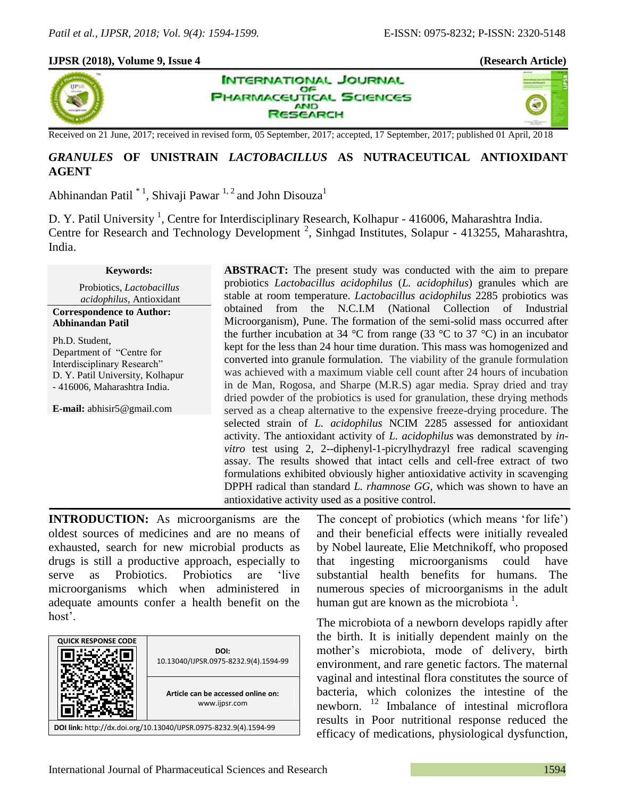## **IJPSR (2018), Volume 9, Issue 4 (Research Article)**





Received on 21 June, 2017; received in revised form, 05 September, 2017; accepted, 17 September, 2017; published 01 April, 2018

**AND ISEARCH** 

## *GRANULES* **OF UNISTRAIN** *LACTOBACILLUS* **AS NUTRACEUTICAL ANTIOXIDANT AGENT**

**INTERNATIONAL JOURNAL** OF **PHARMACEUTICAL SCIENCES** 

Abhinandan Patil  $^*$ <sup>1</sup>, Shivaji Pawar<sup>1, 2</sup> and John Disouza<sup>1</sup>

D. Y. Patil University<sup>1</sup>, Centre for Interdisciplinary Research, Kolhapur - 416006, Maharashtra India. Centre for Research and Technology Development<sup>2</sup>, Sinhgad Institutes, Solapur - 413255, Maharashtra, India.

### **Keywords:**

Probiotics, *Lactobacillus acidophilus*, Antioxidant

**Correspondence to Author: Abhinandan Patil**

Ph.D. Student, Department of "Centre for Interdisciplinary Research" D. Y. Patil University, Kolhapur - 416006, Maharashtra India.

**E-mail:** abhisir5@gmail.com

**ABSTRACT:** The present study was conducted with the aim to prepare probiotics *Lactobacillus acidophilus* (*L. acidophilus*) granules which are stable at room temperature. *Lactobacillus acidophilus* 2285 probiotics was obtained from the N.C.I.M (National Collection of Industrial Microorganism), Pune. The formation of the semi-solid mass occurred after the further incubation at 34 °C from range (33 °C to 37 °C) in an incubator kept for the less than 24 hour time duration. This mass was homogenized and converted into granule formulation. The viability of the granule formulation was achieved with a maximum viable cell count after 24 hours of incubation in de Man, Rogosa, and Sharpe (M.R.S) agar media. Spray dried and tray dried powder of the probiotics is used for granulation, these drying methods served as a cheap alternative to the expensive freeze-drying procedure. The selected strain of *L. acidophilus* NCIM 2285 assessed for antioxidant activity. The antioxidant activity of *L. acidophilus* was demonstrated by *invitro* test using 2, 2--diphenyl-1-picrylhydrazyl free radical scavenging assay. The results showed that intact cells and cell-free extract of two formulations exhibited obviously higher antioxidative activity in scavenging DPPH radical than standard *L. rhamnose GG,* which was shown to have an antioxidative activity used as a positive control.

**INTRODUCTION:** As microorganisms are the oldest sources of medicines and are no means of exhausted, search for new microbial products as drugs is still a productive approach, especially to serve as Probiotics. Probiotics are 'live microorganisms which when administered in adequate amounts confer a health benefit on the host'.



The concept of probiotics (which means 'for life') and their beneficial effects were initially revealed by Nobel laureate, Elie Metchnikoff, who proposed that ingesting microorganisms could have substantial health benefits for humans. The numerous species of microorganisms in the adult human gut are known as the microbiota<sup>1</sup>.

The microbiota of a newborn develops rapidly after the birth. It is initially dependent mainly on the mother's microbiota, mode of delivery, birth environment, and rare genetic factors. The maternal vaginal and intestinal flora constitutes the source of bacteria, which colonizes the intestine of the newborn.  $12$  Imbalance of intestinal microflora results in Poor nutritional response reduced the efficacy of medications, physiological dysfunction,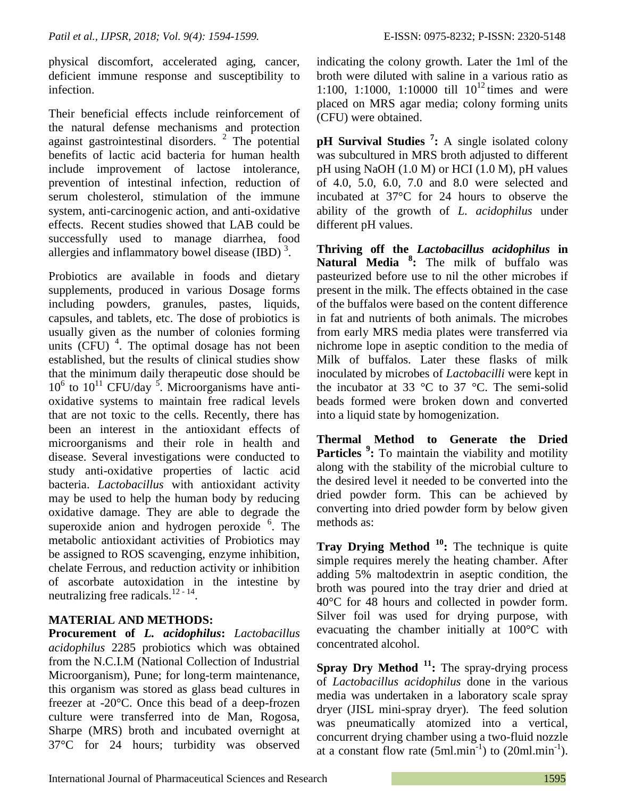physical discomfort, accelerated aging, cancer, deficient immune response and susceptibility to infection.

Their beneficial effects include reinforcement of the natural defense mechanisms and protection against gastrointestinal disorders.  $2$  The potential benefits of lactic acid bacteria for human health include improvement of lactose intolerance, prevention of intestinal infection, reduction of serum cholesterol, stimulation of the immune system, anti-carcinogenic action, and anti-oxidative effects. Recent studies showed that LAB could be successfully used to manage diarrhea, food allergies and inflammatory bowel disease  $(IBD)$ <sup>3</sup>.

Probiotics are available in foods and dietary supplements, produced in various Dosage forms including powders, granules, pastes, liquids, capsules, and tablets, etc. The dose of probiotics is usually given as the number of colonies forming units  $(CFU)$ <sup>4</sup>. The optimal dosage has not been established, but the results of clinical studies show that the minimum daily therapeutic dose should be  $10^6$  to  $10^{11}$  CFU/day <sup>5</sup>. Microorganisms have antioxidative systems to maintain free radical levels that are not toxic to the cells. Recently, there has been an interest in the antioxidant effects of microorganisms and their role in health and disease. Several investigations were conducted to study anti-oxidative properties of lactic acid bacteria. *Lactobacillus* with antioxidant activity may be used to help the human body by reducing oxidative damage. They are able to degrade the superoxide anion and hydrogen peroxide <sup>6</sup>. The metabolic antioxidant activities of Probiotics may be assigned to ROS scavenging, enzyme inhibition, chelate Ferrous, and reduction activity or inhibition of ascorbate autoxidation in the intestine by neutralizing free radicals. $12 - 14$ .

# **MATERIAL AND METHODS:**

**Procurement of** *L. acidophilus***:** *Lactobacillus acidophilus* 2285 probiotics which was obtained from the N.C.I.M (National Collection of Industrial Microorganism), Pune; for long-term maintenance, this organism was stored as glass bead cultures in freezer at -20°C. Once this bead of a deep-frozen culture were transferred into de Man, Rogosa, Sharpe (MRS) broth and incubated overnight at 37°C for 24 hours; turbidity was observed indicating the colony growth. Later the 1ml of the broth were diluted with saline in a various ratio as 1:100, 1:1000, 1:10000 till  $10^{12}$  times and were placed on MRS agar media; colony forming units (CFU) were obtained.

**pH Survival Studies <sup>7</sup> :** A single isolated colony was subcultured in MRS broth adjusted to different pH using NaOH (1.0 M) or HCI (1.0 M), pH values of 4.0, 5.0, 6.0, 7.0 and 8.0 were selected and incubated at 37°C for 24 hours to observe the ability of the growth of *L. acidophilus* under different pH values.

**Thriving off the** *Lactobacillus acidophilus* **in Natural Media <sup>8</sup> :** The milk of buffalo was pasteurized before use to nil the other microbes if present in the milk. The effects obtained in the case of the buffalos were based on the content difference in fat and nutrients of both animals. The microbes from early MRS media plates were transferred via nichrome lope in aseptic condition to the media of Milk of buffalos. Later these flasks of milk inoculated by microbes of *Lactobacilli* were kept in the incubator at 33  $\degree$ C to 37  $\degree$ C. The semi-solid beads formed were broken down and converted into a liquid state by homogenization.

**Thermal Method to Generate the Dried Particles** <sup>9</sup>: To maintain the viability and motility along with the stability of the microbial culture to the desired level it needed to be converted into the dried powder form. This can be achieved by converting into dried powder form by below given methods as:

**Tray Drying Method** <sup>10</sup>**:** The technique is quite simple requires merely the heating chamber. After adding 5% maltodextrin in aseptic condition, the broth was poured into the tray drier and dried at 40°C for 48 hours and collected in powder form. Silver foil was used for drying purpose, with evacuating the chamber initially at 100°C with concentrated alcohol.

**Spray Dry Method <sup>11</sup>:** The spray-drying process of *Lactobacillus acidophilus* done in the various media was undertaken in a laboratory scale spray dryer (JISL mini-spray dryer). The feed solution was pneumatically atomized into a vertical, concurrent drying chamber using a two-fluid nozzle at a constant flow rate  $(5ml.min<sup>-1</sup>)$  to  $(20ml.min<sup>-1</sup>)$ .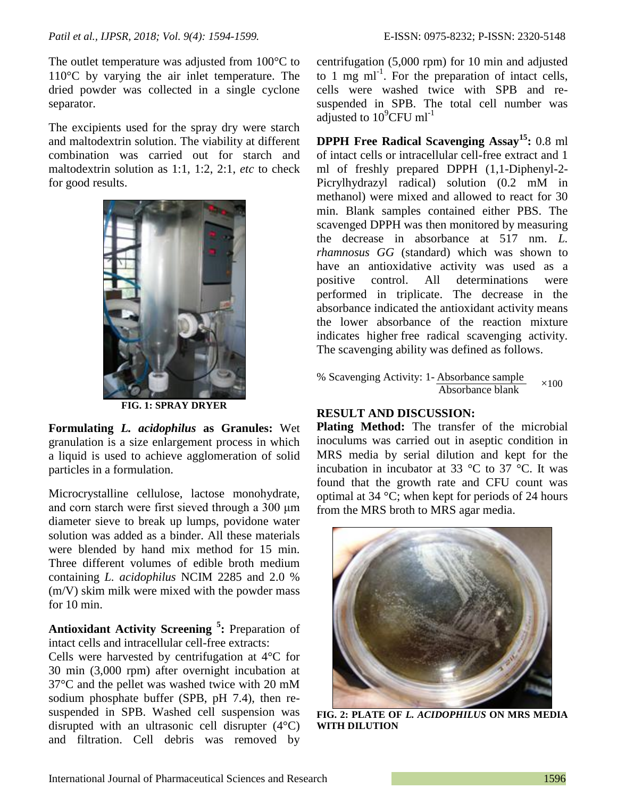The outlet temperature was adjusted from 100<sup>o</sup>C to 110°C by varying the air inlet temperature. The dried powder was collected in a single cyclone separator.

The excipients used for the spray dry were starch and maltodextrin solution. The viability at different combination was carried out for starch and maltodextrin solution as 1:1, 1:2, 2:1, *etc* to check for good results.



**FIG. 1: SPRAY DRYER**

**Formulating** *L. acidophilus* **as Granules:** Wet granulation is a size enlargement process in which a liquid is used to achieve agglomeration of solid particles in a formulation.

Microcrystalline cellulose, lactose monohydrate, and corn starch were first sieved through a 300 μm diameter sieve to break up lumps, povidone water solution was added as a binder. All these materials were blended by hand mix method for 15 min. Three different volumes of edible broth medium containing *L. acidophilus* NCIM 2285 and 2.0 % (m/V) skim milk were mixed with the powder mass for 10 min.

**Antioxidant Activity Screening <sup>5</sup> :** Preparation of intact cells and intracellular cell-free extracts:

Cells were harvested by centrifugation at 4°C for 30 min (3,000 rpm) after overnight incubation at 37°C and the pellet was washed twice with 20 mM sodium phosphate buffer (SPB, pH 7.4), then resuspended in SPB. Washed cell suspension was disrupted with an ultrasonic cell disrupter (4°C) and filtration. Cell debris was removed by

centrifugation (5,000 rpm) for 10 min and adjusted to 1 mg  $ml^{-1}$ . For the preparation of intact cells, cells were washed twice with SPB and resuspended in SPB. The total cell number was adjusted to  $10^9$ CFU ml<sup>-1</sup>

**DPPH Free Radical Scavenging Assay<sup>15</sup>:** 0.8 ml of intact cells or intracellular cell-free extract and 1 ml of freshly prepared DPPH (1,1-Diphenyl-2- Picrylhydrazyl radical) solution (0.2 mM in methanol) were mixed and allowed to react for 30 min. Blank samples contained either PBS. The scavenged DPPH was then monitored by measuring the decrease in absorbance at 517 nm. *L. rhamnosus GG* (standard) which was shown to have an antioxidative activity was used as a positive control. All determinations were performed in triplicate. The decrease in the absorbance indicated the antioxidant activity means the lower absorbance of the reaction mixture indicates higher free radical scavenging activity. The scavenging ability was defined as follows.

% Scavenging Activity: 1- Absorbance sample Absorbance blank  $\times$ 100

## **RESULT AND DISCUSSION:**

**Plating Method:** The transfer of the microbial inoculums was carried out in aseptic condition in MRS media by serial dilution and kept for the incubation in incubator at 33 °C to 37 °C. It was found that the growth rate and CFU count was optimal at 34 °C; when kept for periods of 24 hours from the MRS broth to MRS agar media.



**FIG. 2: PLATE OF** *L. ACIDOPHILUS* **ON MRS MEDIA WITH DILUTION**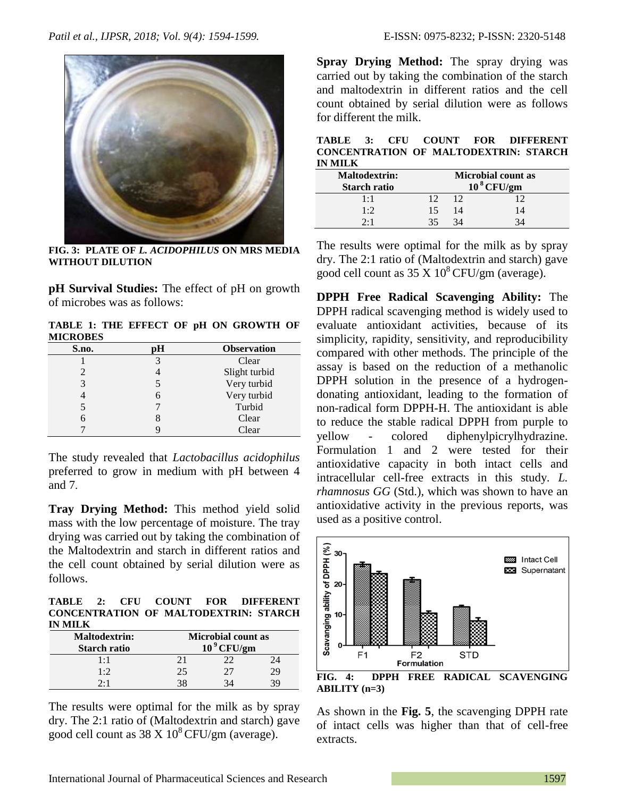

**FIG. 3: PLATE OF** *L. ACIDOPHILUS* **ON MRS MEDIA WITHOUT DILUTION**

**pH Survival Studies:** The effect of pH on growth of microbes was as follows:

**TABLE 1: THE EFFECT OF pH ON GROWTH OF MICROBES**

| S.no. | Н | <b>Observation</b> |
|-------|---|--------------------|
|       | 3 | Clear              |
|       |   | Slight turbid      |
| 3     |   | Very turbid        |
|       |   | Very turbid        |
|       |   | Turbid             |
|       |   | Clear              |
|       |   | Clear              |

The study revealed that *Lactobacillus acidophilus* preferred to grow in medium with pH between 4 and 7.

**Tray Drying Method:** This method yield solid mass with the low percentage of moisture. The tray drying was carried out by taking the combination of the Maltodextrin and starch in different ratios and the cell count obtained by serial dilution were as follows.

**TABLE 2: CFU COUNT FOR DIFFERENT CONCENTRATION OF MALTODEXTRIN: STARCH IN MILK**

| <b>Maltodextrin:</b><br><b>Starch ratio</b> | <b>Microbial count as</b><br>$109$ CFU/gm |    |    |
|---------------------------------------------|-------------------------------------------|----|----|
| 1:1                                         | 21                                        | 22 |    |
| 1:2                                         | 25                                        | 27 | 29 |
| 2.1                                         | 38                                        | 34 |    |

The results were optimal for the milk as by spray dry. The 2:1 ratio of (Maltodextrin and starch) gave good cell count as  $38 \text{ X} 10^8 \text{CFU/gm}$  (average).

**Spray Drying Method:** The spray drying was carried out by taking the combination of the starch and maltodextrin in different ratios and the cell count obtained by serial dilution were as follows for different the milk.

**TABLE 3: CFU COUNT FOR DIFFERENT CONCENTRATION OF MALTODEXTRIN: STARCH IN MILK**

| <b>Maltodextrin:</b><br><b>Starch ratio</b> | <b>Microbial count as</b><br>$10^8$ CFU/gm |    |    |
|---------------------------------------------|--------------------------------------------|----|----|
| $1 \cdot 1$                                 |                                            |    |    |
| 1·2                                         | 15                                         | 14 | 14 |
| 2.1                                         |                                            |    |    |

The results were optimal for the milk as by spray dry. The 2:1 ratio of (Maltodextrin and starch) gave good cell count as  $35 \text{ X} 10^8 \text{CFU/cm}$  (average).

**DPPH Free Radical Scavenging Ability:** The DPPH radical scavenging method is widely used to evaluate antioxidant activities, because of its simplicity, rapidity, sensitivity, and reproducibility compared with other methods. The principle of the assay is based on the reduction of a methanolic DPPH solution in the presence of a hydrogendonating antioxidant, leading to the formation of non-radical form DPPH-H. The antioxidant is able to reduce the stable radical DPPH from purple to yellow - colored diphenylpicrylhydrazine. Formulation 1 and 2 were tested for their antioxidative capacity in both intact cells and intracellular cell-free extracts in this study. *L. rhamnosus GG* (Std.)*,* which was shown to have an antioxidative activity in the previous reports, was used as a positive control.



**FIG. 4: DPPH FREE RADICAL SCAVENGING ABILITY (n=3)**

As shown in the **Fig. 5**, the scavenging DPPH rate of intact cells was higher than that of cell-free extracts.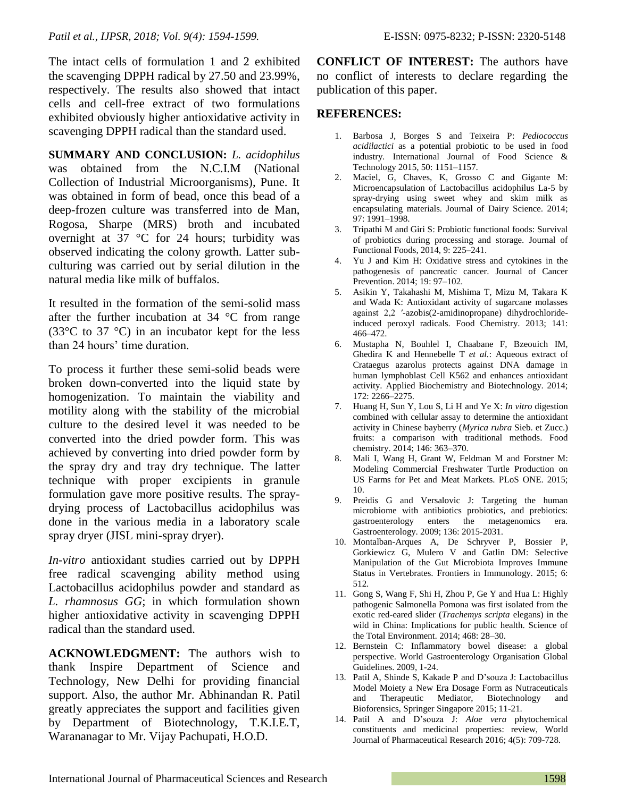The intact cells of formulation 1 and 2 exhibited the scavenging DPPH radical by 27.50 and 23.99%, respectively. The results also showed that intact cells and cell-free extract of two formulations exhibited obviously higher antioxidative activity in scavenging DPPH radical than the standard used.

**SUMMARY AND CONCLUSION:** *L. acidophilus* was obtained from the N.C.I.M (National Collection of Industrial Microorganisms), Pune. It was obtained in form of bead, once this bead of a deep-frozen culture was transferred into de Man, Rogosa, Sharpe (MRS) broth and incubated overnight at 37 °C for 24 hours; turbidity was observed indicating the colony growth. Latter subculturing was carried out by serial dilution in the natural media like milk of buffalos.

It resulted in the formation of the semi-solid mass after the further incubation at 34 °C from range (33°C to 37 °C) in an incubator kept for the less than 24 hours' time duration.

To process it further these semi-solid beads were broken down-converted into the liquid state by homogenization. To maintain the viability and motility along with the stability of the microbial culture to the desired level it was needed to be converted into the dried powder form. This was achieved by converting into dried powder form by the spray dry and tray dry technique. The latter technique with proper excipients in granule formulation gave more positive results. The spraydrying process of Lactobacillus acidophilus was done in the various media in a laboratory scale spray dryer (JISL mini-spray dryer).

*In-vitro* antioxidant studies carried out by DPPH free radical scavenging ability method using Lactobacillus acidophilus powder and standard as *L. rhamnosus GG*; in which formulation shown higher antioxidative activity in scavenging DPPH radical than the standard used.

**ACKNOWLEDGMENT:** The authors wish to thank Inspire Department of Science and Technology, New Delhi for providing financial support. Also, the author Mr. Abhinandan R. Patil greatly appreciates the support and facilities given by Department of Biotechnology, T.K.I.E.T, Warananagar to Mr. Vijay Pachupati, H.O.D.

**CONFLICT OF INTEREST:** The authors have no conflict of interests to declare regarding the publication of this paper.

## **REFERENCES:**

- 1. Barbosa J, Borges S and Teixeira P: *Pediococcus acidilactici* as a potential probiotic to be used in food industry. International Journal of Food Science & Technology 2015, 50: 1151–1157.
- 2. Maciel, G, Chaves, K, Grosso C and Gigante M: Microencapsulation of Lactobacillus acidophilus La-5 by spray-drying using sweet whey and skim milk as encapsulating materials. Journal of Dairy Science. 2014; 97: 1991–1998.
- 3. Tripathi M and Giri S: Probiotic functional foods: Survival of probiotics during processing and storage. Journal of Functional Foods, 2014, 9: 225–241.
- 4. Yu J and Kim H: Oxidative stress and cytokines in the pathogenesis of pancreatic cancer. Journal of Cancer Prevention. 2014; 19: 97–102.
- 5. Asikin Y, Takahashi M, Mishima T, Mizu M, Takara K and Wada K: Antioxidant activity of sugarcane molasses against 2,2 ′-azobis(2-amidinopropane) dihydrochlorideinduced peroxyl radicals. Food Chemistry. 2013; 141: 466–472.
- 6. Mustapha N, Bouhlel I, Chaabane F, Bzeouich IM, Ghedira K and Hennebelle T *et al.*: Aqueous extract of Crataegus azarolus protects against DNA damage in human lymphoblast Cell K562 and enhances antioxidant activity. Applied Biochemistry and Biotechnology. 2014; 172: 2266–2275.
- 7. Huang H, Sun Y, Lou S, Li H and Ye X: *In vitro* digestion combined with cellular assay to determine the antioxidant activity in Chinese bayberry (*Myrica rubra* Sieb. et Zucc.) fruits: a comparison with traditional methods. Food chemistry. 2014; 146: 363–370.
- 8. Mali I, Wang H, Grant W, Feldman M and Forstner M: Modeling Commercial Freshwater Turtle Production on US Farms for Pet and Meat Markets. PLoS ONE. 2015; 10.
- 9. Preidis G and Versalovic J: Targeting the human microbiome with antibiotics probiotics, and prebiotics: gastroenterology enters the metagenomics era. Gastroenterology. 2009; 136: 2015-2031.
- 10. Montalban-Arques A, De Schryver P, Bossier P, Gorkiewicz G, Mulero V and Gatlin DM: Selective Manipulation of the Gut Microbiota Improves Immune Status in Vertebrates. Frontiers in Immunology. 2015; 6: 512.
- 11. Gong S, Wang F, Shi H, Zhou P, Ge Y and Hua L: Highly pathogenic Salmonella Pomona was first isolated from the exotic red-eared slider (*Trachemys scripta* elegans) in the wild in China: Implications for public health. Science of the Total Environment. 2014; 468: 28–30.
- 12. Bernstein C: Inflammatory bowel disease: a global perspective. World Gastroenterology Organisation Global Guidelines. 2009, 1-24.
- 13. Patil A, Shinde S, Kakade P and D'souza J: Lactobacillus Model Moiety a New Era Dosage Form as Nutraceuticals and Therapeutic Mediator, Biotechnology and Bioforensics, Springer Singapore 2015; 11-21.
- 14. Patil A and D'souza J: *Aloe vera* phytochemical constituents and medicinal properties: review, World Journal of Pharmaceutical Research 2016; 4(5): 709-728.